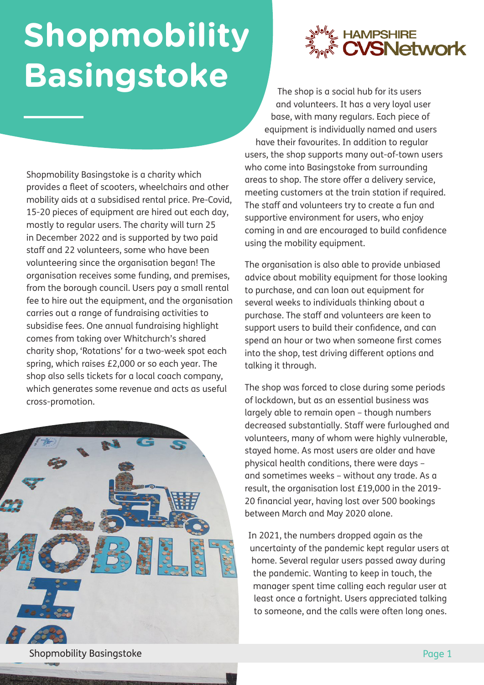## **Shopmobility Basingstoke**





The shop is a social hub for its users and volunteers. It has a very loyal user base, with many regulars. Each piece of equipment is individually named and users have their favourites. In addition to regular users, the shop supports many out-of-town users who come into Basingstoke from surrounding areas to shop. The store offer a delivery service, meeting customers at the train station if required. The staff and volunteers try to create a fun and supportive environment for users, who enjoy coming in and are encouraged to build confidence using the mobility equipment.

The organisation is also able to provide unbiased advice about mobility equipment for those looking to purchase, and can loan out equipment for several weeks to individuals thinking about a purchase. The staff and volunteers are keen to support users to build their confidence, and can spend an hour or two when someone first comes into the shop, test driving different options and talking it through.

The shop was forced to close during some periods of lockdown, but as an essential business was largely able to remain open – though numbers decreased substantially. Staff were furloughed and volunteers, many of whom were highly vulnerable, stayed home. As most users are older and have physical health conditions, there were days – and sometimes weeks – without any trade. As a result, the organisation lost £19,000 in the 2019- 20 financial year, having lost over 500 bookings between March and May 2020 alone.

In 2021, the numbers dropped again as the uncertainty of the pandemic kept regular users at home. Several regular users passed away during the pandemic. Wanting to keep in touch, the manager spent time calling each regular user at least once a fortnight. Users appreciated talking to someone, and the calls were often long ones.

**Shopmobility Basingstoke** Page 1